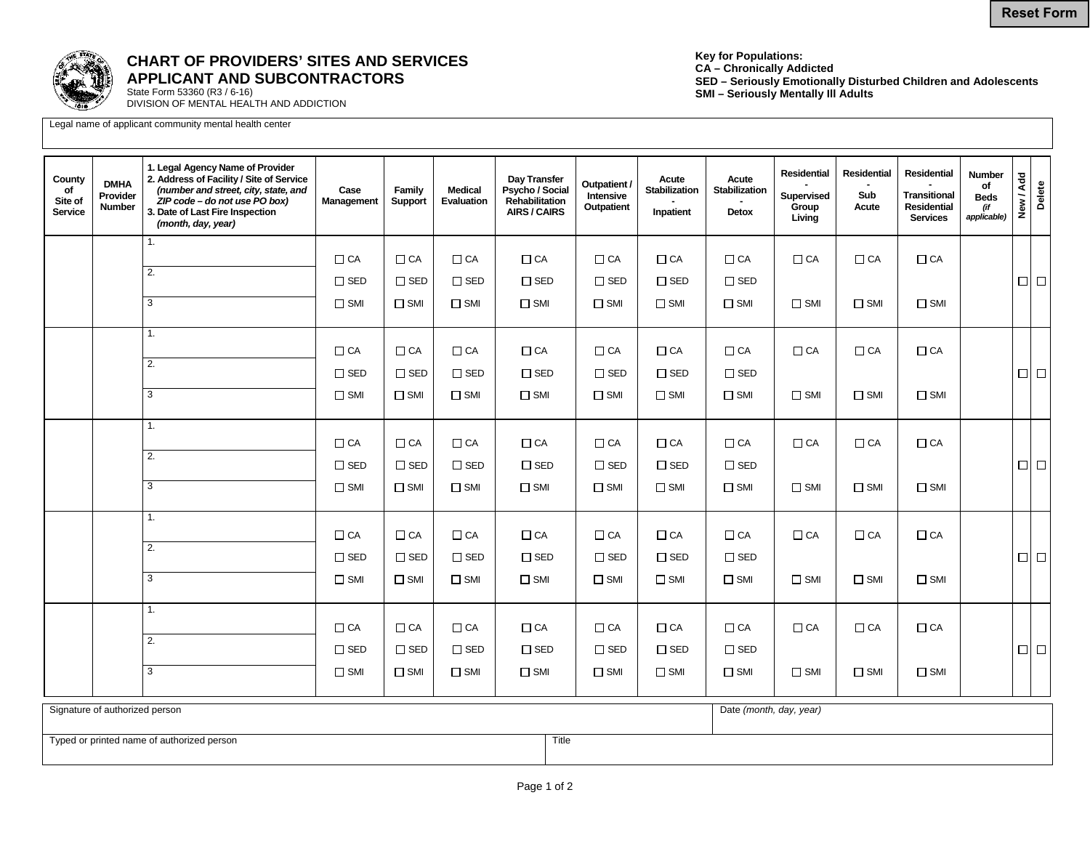

## **CHART OF PROVIDERS' SITES AND SERVICES APPLICANT AND SUBCONTRACTORS**

State Form 53360 (R3 / 6-16) DIVISION OF MENTAL HEALTH AND ADDICTION

Legal name of applicant community mental health center

**Key for Populations: CA – Chronically Addicted SED – Seriously Emotionally Disturbed Children and Adolescents SMI – Seriously Mentally Ill Adults** 

| County<br>of<br>Site of<br><b>Service</b>           | <b>DMHA</b><br>Provider<br><b>Number</b> | 1. Legal Agency Name of Provider<br>2. Address of Facility / Site of Service<br>(number and street, city, state, and<br>ZIP code - do not use PO box)<br>3. Date of Last Fire Inspection<br>(month, day, year) | Case<br>Management | Family<br>Support           | <b>Medical</b><br>Evaluation   | Day Transfer<br>Psycho / Social<br>Rehabilitation<br>AIRS / CAIRS | Outpatient /<br>Intensive<br>Outpatient | Acute<br>Stabilization<br>Inpatient | Acute<br>Stabilization<br>Detox | <b>Residential</b><br>Supervised<br>Group<br>Living | Residential<br>Sub<br>Acute | Residential<br><b>Transitional</b><br><b>Residential</b><br><b>Services</b> | <b>Number</b><br>of<br><b>Beds</b><br>(if<br>applicable) | New / Add<br>Delete |
|-----------------------------------------------------|------------------------------------------|----------------------------------------------------------------------------------------------------------------------------------------------------------------------------------------------------------------|--------------------|-----------------------------|--------------------------------|-------------------------------------------------------------------|-----------------------------------------|-------------------------------------|---------------------------------|-----------------------------------------------------|-----------------------------|-----------------------------------------------------------------------------|----------------------------------------------------------|---------------------|
|                                                     |                                          | 1.                                                                                                                                                                                                             | $\Box$ CA          | $\Box$ CA                   | $\Box$ CA                      | $\Box$ CA                                                         | $\Box$ CA                               | $\Box$ CA                           | $\Box$ CA                       | $\Box$ CA                                           | $\Box$ CA                   | $\Box$ CA                                                                   |                                                          |                     |
|                                                     |                                          | 2.                                                                                                                                                                                                             | $\square$ SED      | $\square$ SED               | $\square$ SED                  | $\Box$ SED                                                        | $\Box$ SED                              | $\Box$ SED                          | $\square$ SED                   |                                                     |                             |                                                                             |                                                          | $\Box$ $\Box$       |
|                                                     |                                          | 3                                                                                                                                                                                                              | $\square$ SMI      | $\Box$ SMI                  | $\square$ SMI                  | $\Box$ SMI                                                        | $\square$ SMI                           | $\square$ SMI                       | $\Box$ SMI                      | $\square$ SMI                                       | $\square$ SMI               | $\Box$ SMI                                                                  |                                                          |                     |
|                                                     |                                          |                                                                                                                                                                                                                |                    |                             |                                |                                                                   |                                         |                                     |                                 |                                                     |                             |                                                                             |                                                          |                     |
|                                                     |                                          | 1.                                                                                                                                                                                                             | $\Box$ CA          | $\Box$ CA                   | $\Box$ CA                      | $\Box$ CA                                                         | $\Box$ CA                               | $\Box$ CA                           | $\Box$ CA                       | $\Box$ CA                                           | $\Box$ CA                   | $\Box$ CA                                                                   |                                                          |                     |
|                                                     |                                          | $\overline{2}$ .                                                                                                                                                                                               | $\Box$ SED         | $\square$ SED               | $\Box$ SED                     | $\square$ SED                                                     | $\Box$ SED                              | $\square$ SED                       | $\square$ SED                   |                                                     |                             |                                                                             |                                                          | $\Box$ $\Box$       |
|                                                     |                                          | 3                                                                                                                                                                                                              | $\square$ SMI      | $\Box$ SMI                  | $\square$ SMI                  | $\Box$ SMI                                                        | $\square$ SMI                           | $\square$ SMI                       | $\Box$ SMI                      | $\square$ SMI                                       | $\square$ SMI               | $\Box$ SMI                                                                  |                                                          |                     |
|                                                     |                                          | 1.                                                                                                                                                                                                             | $\Box$ CA          | $\Box$ CA                   | $\Box$ CA                      | $\Box$ CA                                                         | $\Box$ CA                               | $\Box$ CA                           | $\Box$ CA                       | $\Box$ CA                                           | $\Box$ CA                   | $\Box$ CA                                                                   |                                                          |                     |
|                                                     |                                          | 2.                                                                                                                                                                                                             | $\square$ SED      | $\square$ SED               | $\square$ SED                  | $\square$ SED                                                     | $\square$ SED                           | $\square$ SED                       | $\square$ SED                   |                                                     |                             |                                                                             |                                                          | $\Box$ $\Box$       |
|                                                     |                                          | 3                                                                                                                                                                                                              | $\square$ SMI      | $\Box$ SMI                  | $\square$ SMI                  | $\Box$ SMI                                                        | $\square$ SMI                           | $\square$ SMI                       | $\Box$ SMI                      | $\square$ SMI                                       | $\square$ SMI               | $\Box$ SMI                                                                  |                                                          |                     |
|                                                     |                                          | $\overline{1}$ .                                                                                                                                                                                               |                    |                             | $\Box$ CA                      |                                                                   | $\Box$ CA                               |                                     |                                 |                                                     |                             |                                                                             |                                                          |                     |
|                                                     |                                          | 2.                                                                                                                                                                                                             | $\Box$ CA          | $\Box$ CA                   |                                | $\Box$ CA                                                         |                                         | $\Box$ CA                           | $\Box$ CA                       | $\Box$ CA                                           | $\Box$ CA                   | $\Box$ CA                                                                   |                                                          |                     |
|                                                     |                                          | $\overline{3}$                                                                                                                                                                                                 | $\square$ SED      | $\square$ SED<br>$\Box$ SMI | $\square$ SED<br>$\square$ SMI | $\square$ SED                                                     | $\square$ SED<br>$\square$ SMI          | $\Box$ SED<br>$\square$ SMI         | $\square$ SED<br>$\Box$ SMI     | $\square$ SMI                                       | $\square$ SMI               | $\Box$ SMI                                                                  |                                                          | $\Box$ $\Box$       |
|                                                     |                                          |                                                                                                                                                                                                                | $\square$ SMI      |                             |                                | $\Box$ SMI                                                        |                                         |                                     |                                 |                                                     |                             |                                                                             |                                                          |                     |
|                                                     |                                          | 1.                                                                                                                                                                                                             | $\Box$ CA          | $\Box$ CA                   | $\Box$ CA                      | $\Box$ CA                                                         | $\Box$ CA                               | $\Box$ CA                           | $\Box$ CA                       | $\Box$ CA                                           | $\Box$ CA                   | $\Box$ CA                                                                   |                                                          |                     |
|                                                     |                                          | 2.                                                                                                                                                                                                             | $\square$ SED      | $\square$ SED               | $\square$ SED                  | $\square$ SED                                                     | $\Box$ SED                              | $\Box$ SED                          | $\square$ SED                   |                                                     |                             |                                                                             |                                                          | $\Box$ $\Box$       |
|                                                     |                                          | 3                                                                                                                                                                                                              | $\square$ SMI      | $\Box$ SMI                  | $\square$ SMI                  | $\Box$ SMI                                                        | $\square$ SMI                           | $\square$ SMI                       | $\square$ SMI                   | $\square$ SMI                                       | $\Box$ SMI                  | $\Box$ SMI                                                                  |                                                          |                     |
| Signature of authorized person                      |                                          |                                                                                                                                                                                                                |                    |                             |                                |                                                                   |                                         | Date (month, day, year)             |                                 |                                                     |                             |                                                                             |                                                          |                     |
| Title<br>Typed or printed name of authorized person |                                          |                                                                                                                                                                                                                |                    |                             |                                |                                                                   |                                         |                                     |                                 |                                                     |                             |                                                                             |                                                          |                     |